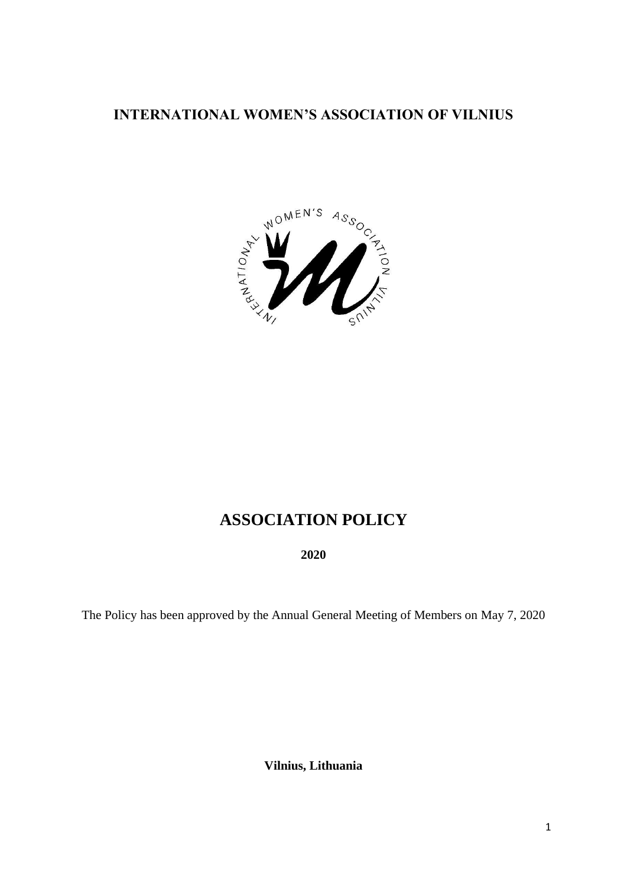## **INTERNATIONAL WOMEN'S ASSOCIATION OF VILNIUS**



# **ASSOCIATION POLICY**

**2020**

The Policy has been approved by the Annual General Meeting of Members on May 7, 2020

**Vilnius, Lithuania**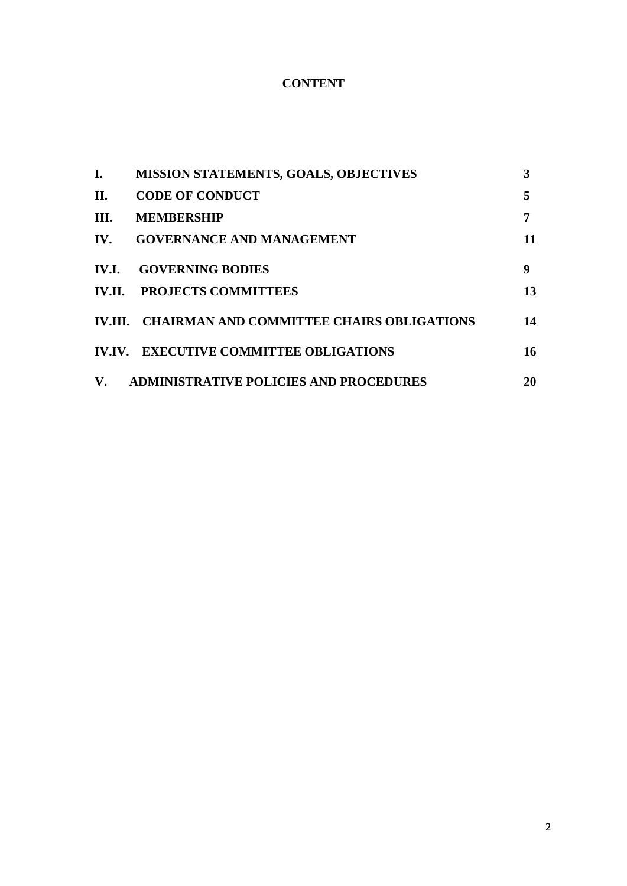### **CONTENT**

| I.           | <b>MISSION STATEMENTS, GOALS, OBJECTIVES</b>      | 3  |
|--------------|---------------------------------------------------|----|
| П.           | <b>CODE OF CONDUCT</b>                            | 5  |
| III.         | <b>MEMBERSHIP</b>                                 | 7  |
| IV.          | <b>GOVERNANCE AND MANAGEMENT</b>                  | 11 |
| <b>IV.I.</b> | <b>GOVERNING BODIES</b>                           | 9  |
|              | <b>IV.II. PROJECTS COMMITTEES</b>                 | 13 |
|              | IV.III. CHAIRMAN AND COMMITTEE CHAIRS OBLIGATIONS | 14 |
|              | <b>IV.IV. EXECUTIVE COMMITTEE OBLIGATIONS</b>     | 16 |
| <b>V.</b>    | <b>ADMINISTRATIVE POLICIES AND PROCEDURES</b>     | 20 |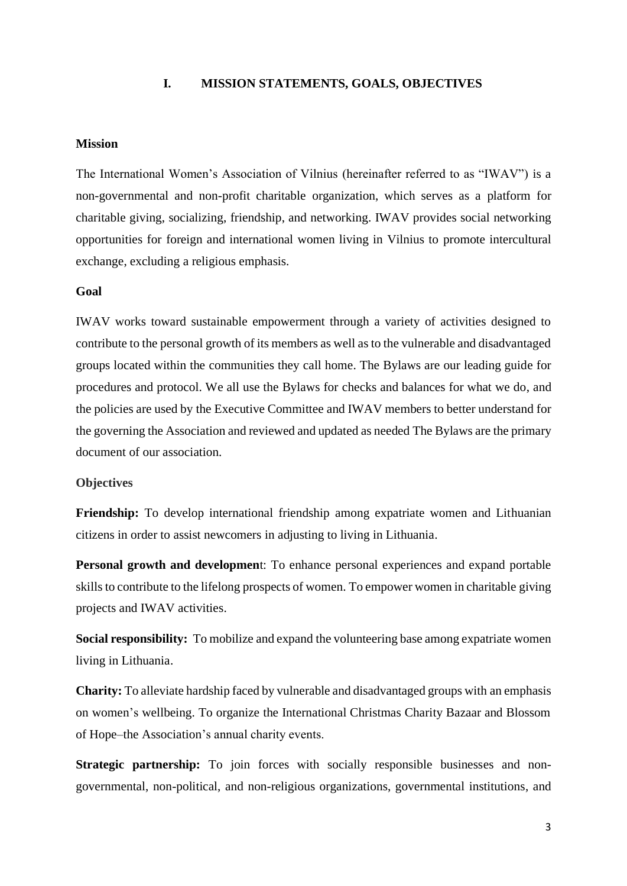#### **I. MISSION STATEMENTS, GOALS, OBJECTIVES**

### **Mission**

The International Women's Association of Vilnius (hereinafter referred to as "IWAV") is a non-governmental and non-profit charitable organization, which serves as a platform for charitable giving, socializing, friendship, and networking. IWAV provides social networking opportunities for foreign and international women living in Vilnius to promote intercultural exchange, excluding a religious emphasis.

#### **Goal**

IWAV works toward sustainable empowerment through a variety of activities designed to contribute to the personal growth of its members as well as to the vulnerable and disadvantaged groups located within the communities they call home. The Bylaws are our leading guide for procedures and protocol. We all use the Bylaws for checks and balances for what we do, and the policies are used by the Executive Committee and IWAV members to better understand for the governing the Association and reviewed and updated as needed The Bylaws are the primary document of our association.

#### **Objectives**

**Friendship:** To develop international friendship among expatriate women and Lithuanian citizens in order to assist newcomers in adjusting to living in Lithuania.

**Personal growth and developmen**t: To enhance personal experiences and expand portable skills to contribute to the lifelong prospects of women. To empower women in charitable giving projects and IWAV activities.

**Social responsibility:** To mobilize and expand the volunteering base among expatriate women living in Lithuania.

**Charity:** To alleviate hardship faced by vulnerable and disadvantaged groups with an emphasis on women's wellbeing. To organize the International Christmas Charity Bazaar and Blossom of Hope–the Association's annual charity events.

**Strategic partnership:** To join forces with socially responsible businesses and nongovernmental, non-political, and non-religious organizations, governmental institutions, and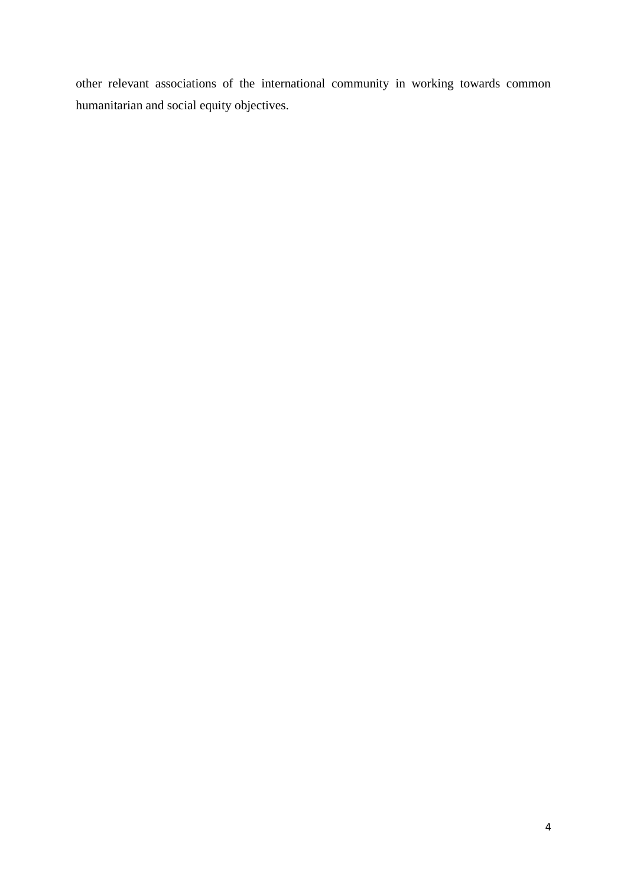other relevant associations of the international community in working towards common humanitarian and social equity objectives.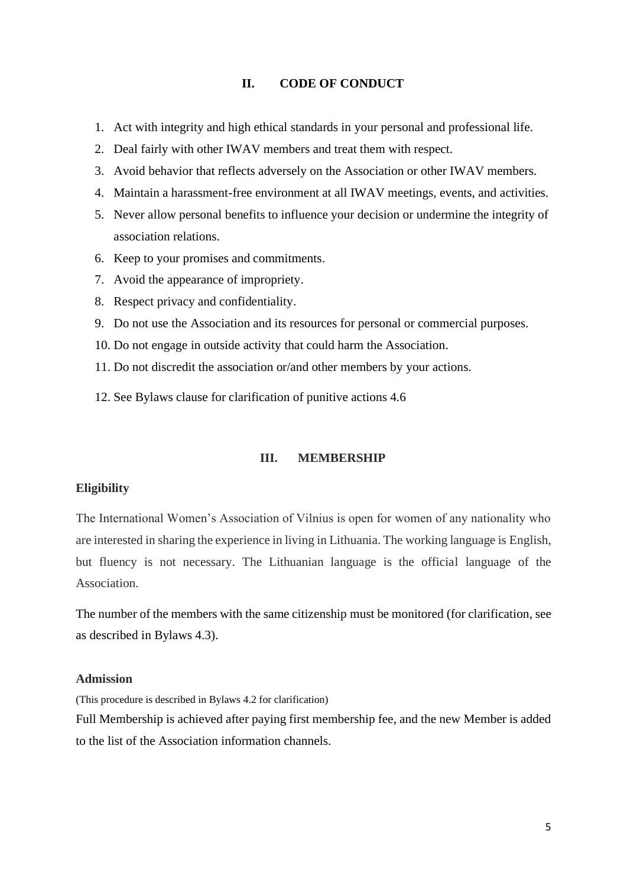#### **II. CODE OF CONDUCT**

- 1. Act with integrity and high ethical standards in your personal and professional life.
- 2. Deal fairly with other IWAV members and treat them with respect.
- 3. Avoid behavior that reflects adversely on the Association or other IWAV members.
- 4. Maintain a harassment-free environment at all IWAV meetings, events, and activities.
- 5. Never allow personal benefits to influence your decision or undermine the integrity of association relations.
- 6. Keep to your promises and commitments.
- 7. Avoid the appearance of impropriety.
- 8. Respect privacy and confidentiality.
- 9. Do not use the Association and its resources for personal or commercial purposes.
- 10. Do not engage in outside activity that could harm the Association.
- 11. Do not discredit the association or/and other members by your actions.
- 12. See Bylaws clause for clarification of punitive actions 4.6

#### **III. MEMBERSHIP**

#### **Eligibility**

The International Women's Association of Vilnius is open for women of any nationality who are interested in sharing the experience in living in Lithuania. The working language is English, but fluency is not necessary. The Lithuanian language is the official language of the Association.

The number of the members with the same citizenship must be monitored (for clarification, see as described in Bylaws 4.3).

#### **Admission**

(This procedure is described in Bylaws 4.2 for clarification)

Full Membership is achieved after paying first membership fee, and the new Member is added to the list of the Association information channels.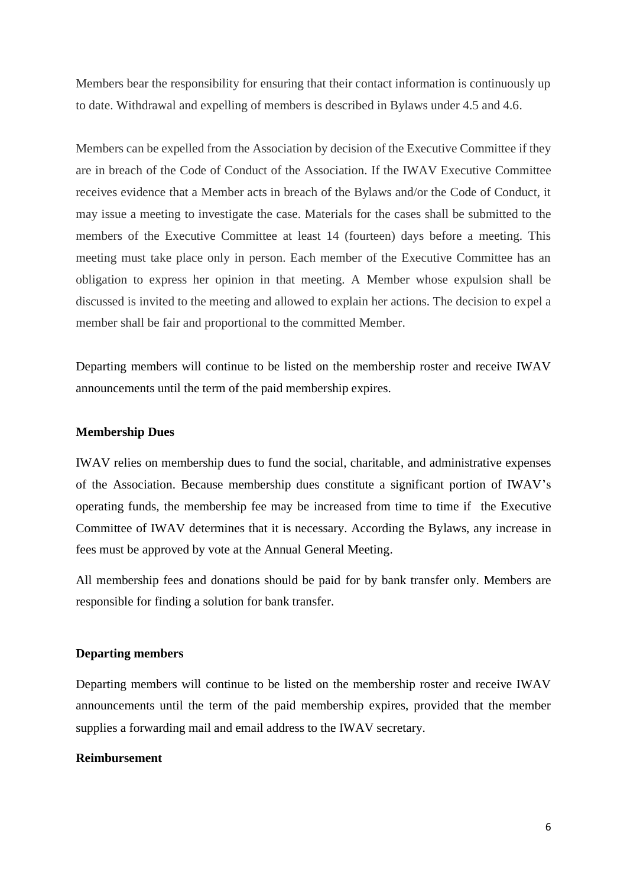Members bear the responsibility for ensuring that their contact information is continuously up to date. Withdrawal and expelling of members is described in Bylaws under 4.5 and 4.6.

Members can be expelled from the Association by decision of the Executive Committee if they are in breach of the Code of Conduct of the Association. If the IWAV Executive Committee receives evidence that a Member acts in breach of the Bylaws and/or the Code of Conduct, it may issue a meeting to investigate the case. Materials for the cases shall be submitted to the members of the Executive Committee at least 14 (fourteen) days before a meeting. This meeting must take place only in person. Each member of the Executive Committee has an obligation to express her opinion in that meeting. A Member whose expulsion shall be discussed is invited to the meeting and allowed to explain her actions. The decision to expel a member shall be fair and proportional to the committed Member.

Departing members will continue to be listed on the membership roster and receive IWAV announcements until the term of the paid membership expires.

### **Membership Dues**

IWAV relies on membership dues to fund the social, charitable, and administrative expenses of the Association. Because membership dues constitute a significant portion of IWAV's operating funds, the membership fee may be increased from time to time if the Executive Committee of IWAV determines that it is necessary. According the Bylaws, any increase in fees must be approved by vote at the Annual General Meeting.

All membership fees and donations should be paid for by bank transfer only. Members are responsible for finding a solution for bank transfer.

#### **Departing members**

Departing members will continue to be listed on the membership roster and receive IWAV announcements until the term of the paid membership expires, provided that the member supplies a forwarding mail and email address to the IWAV secretary.

### **Reimbursement**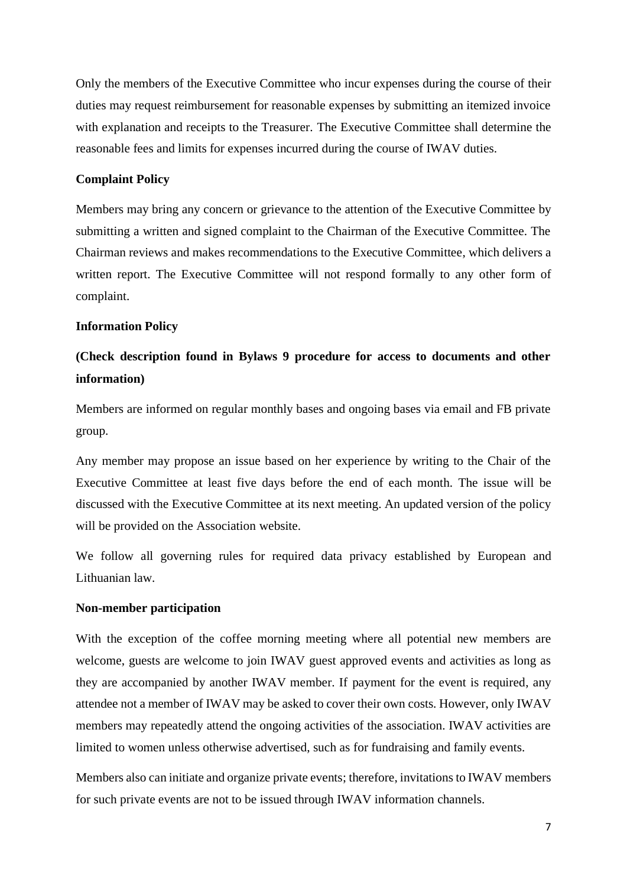Only the members of the Executive Committee who incur expenses during the course of their duties may request reimbursement for reasonable expenses by submitting an itemized invoice with explanation and receipts to the Treasurer. The Executive Committee shall determine the reasonable fees and limits for expenses incurred during the course of IWAV duties.

### **Complaint Policy**

Members may bring any concern or grievance to the attention of the Executive Committee by submitting a written and signed complaint to the Chairman of the Executive Committee. The Chairman reviews and makes recommendations to the Executive Committee, which delivers a written report. The Executive Committee will not respond formally to any other form of complaint.

### **Information Policy**

# **(Check description found in Bylaws 9 procedure for access to documents and other information)**

Members are informed on regular monthly bases and ongoing bases via email and FB private group.

Any member may propose an issue based on her experience by writing to the Chair of the Executive Committee at least five days before the end of each month. The issue will be discussed with the Executive Committee at its next meeting. An updated version of the policy will be provided on the Association website.

We follow all governing rules for required data privacy established by European and Lithuanian law.

#### **Non-member participation**

With the exception of the coffee morning meeting where all potential new members are welcome, guests are welcome to join IWAV guest approved events and activities as long as they are accompanied by another IWAV member. If payment for the event is required, any attendee not a member of IWAV may be asked to cover their own costs. However, only IWAV members may repeatedly attend the ongoing activities of the association. IWAV activities are limited to women unless otherwise advertised, such as for fundraising and family events.

Members also can initiate and organize private events; therefore, invitations to IWAV members for such private events are not to be issued through IWAV information channels.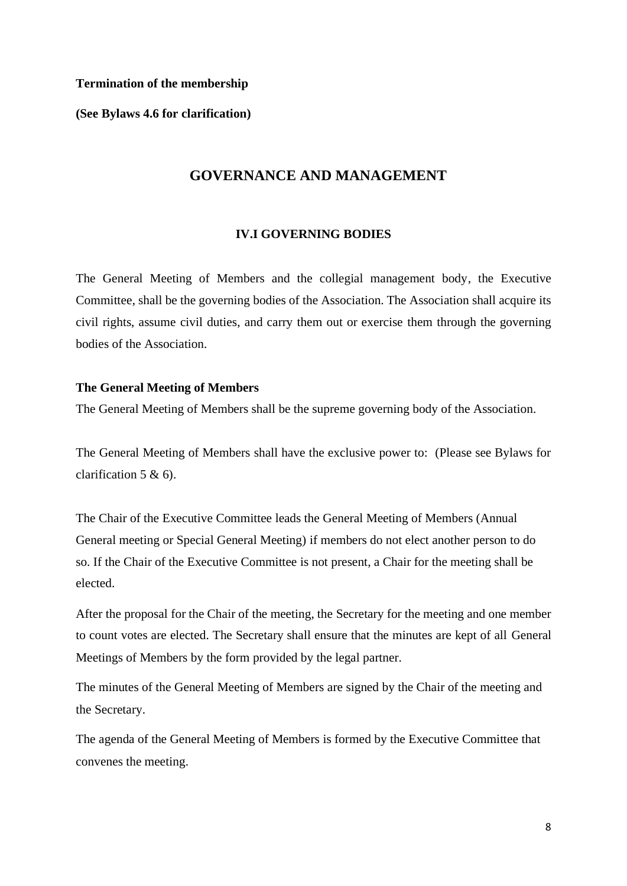### **Termination of the membership**

**(See Bylaws 4.6 for clarification)**

### **GOVERNANCE AND MANAGEMENT**

#### **IV.I GOVERNING BODIES**

The General Meeting of Members and the collegial management body, the Executive Committee, shall be the governing bodies of the Association. The Association shall acquire its civil rights, assume civil duties, and carry them out or exercise them through the governing bodies of the Association.

#### **The General Meeting of Members**

The General Meeting of Members shall be the supreme governing body of the Association.

The General Meeting of Members shall have the exclusive power to: (Please see Bylaws for clarification 5 & 6).

The Chair of the Executive Committee leads the General Meeting of Members (Annual General meeting or Special General Meeting) if members do not elect another person to do so. If the Chair of the Executive Committee is not present, a Chair for the meeting shall be elected.

After the proposal for the Chair of the meeting, the Secretary for the meeting and one member to count votes are elected. The Secretary shall ensure that the minutes are kept of all General Meetings of Members by the form provided by the legal partner.

The minutes of the General Meeting of Members are signed by the Chair of the meeting and the Secretary.

The agenda of the General Meeting of Members is formed by the Executive Committee that convenes the meeting.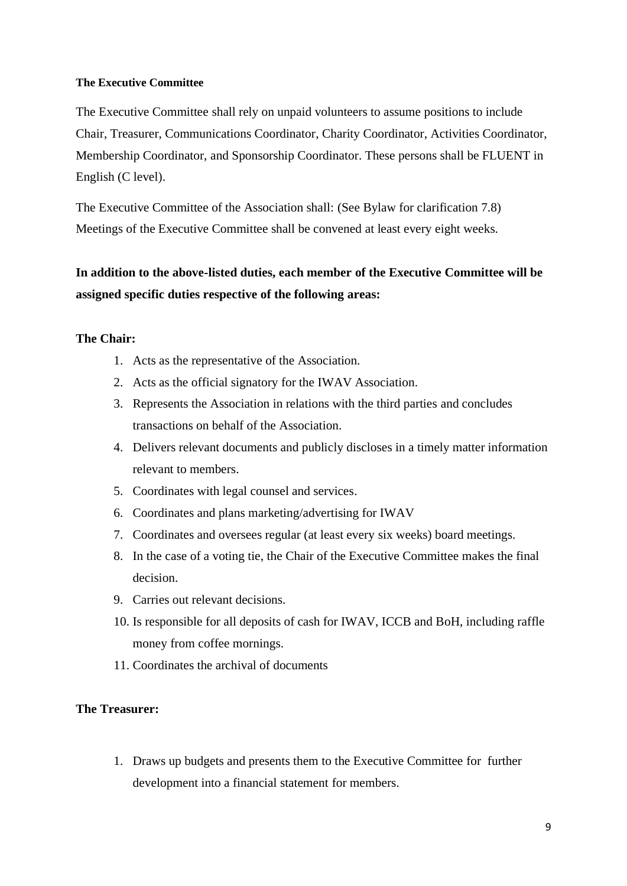### **The Executive Committee**

The Executive Committee shall rely on unpaid volunteers to assume positions to include Chair, Treasurer, Communications Coordinator, Charity Coordinator, Activities Coordinator, Membership Coordinator, and Sponsorship Coordinator. These persons shall be FLUENT in English (C level).

The Executive Committee of the Association shall: (See Bylaw for clarification 7.8) Meetings of the Executive Committee shall be convened at least every eight weeks.

# **In addition to the above-listed duties, each member of the Executive Committee will be assigned specific duties respective of the following areas:**

### **The Chair:**

- 1. Acts as the representative of the Association.
- 2. Acts as the official signatory for the IWAV Association.
- 3. Represents the Association in relations with the third parties and concludes transactions on behalf of the Association.
- 4. Delivers relevant documents and publicly discloses in a timely matter information relevant to members.
- 5. Coordinates with legal counsel and services.
- 6. Coordinates and plans marketing/advertising for IWAV
- 7. Coordinates and oversees regular (at least every six weeks) board meetings.
- 8. In the case of a voting tie, the Chair of the Executive Committee makes the final decision.
- 9. Carries out relevant decisions.
- 10. Is responsible for all deposits of cash for IWAV, ICCB and BoH, including raffle money from coffee mornings.
- 11. Coordinates the archival of documents

### **The Treasurer:**

1. Draws up budgets and presents them to the Executive Committee for further development into a financial statement for members.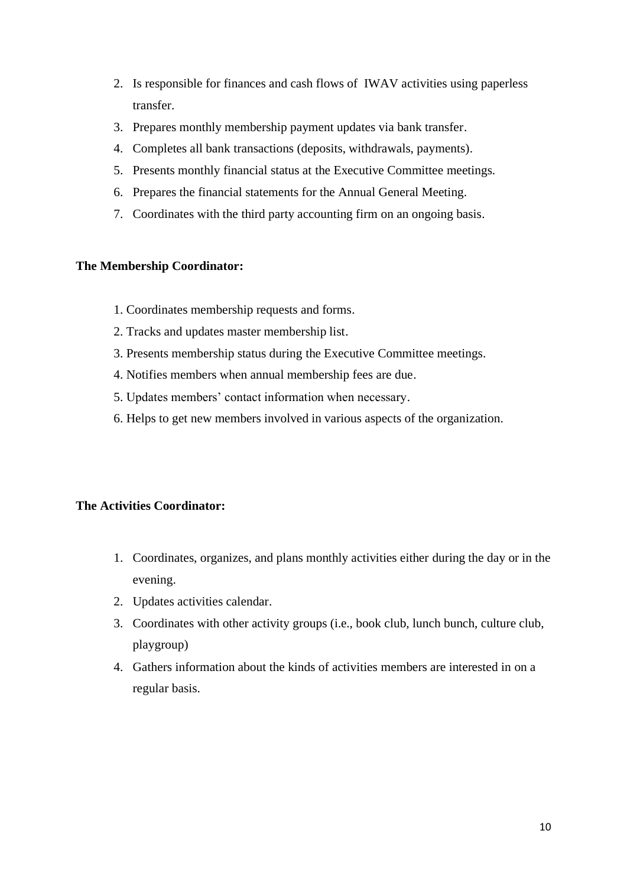- 2. Is responsible for finances and cash flows of IWAV activities using paperless transfer.
- 3. Prepares monthly membership payment updates via bank transfer.
- 4. Completes all bank transactions (deposits, withdrawals, payments).
- 5. Presents monthly financial status at the Executive Committee meetings.
- 6. Prepares the financial statements for the Annual General Meeting.
- 7. Coordinates with the third party accounting firm on an ongoing basis.

### **The Membership Coordinator:**

- 1. Coordinates membership requests and forms.
- 2. Tracks and updates master membership list.
- 3. Presents membership status during the Executive Committee meetings.
- 4. Notifies members when annual membership fees are due.
- 5. Updates members' contact information when necessary.
- 6. Helps to get new members involved in various aspects of the organization.

### **The Activities Coordinator:**

- 1. Coordinates, organizes, and plans monthly activities either during the day or in the evening.
- 2. Updates activities calendar.
- 3. Coordinates with other activity groups (i.e., book club, lunch bunch, culture club, playgroup)
- 4. Gathers information about the kinds of activities members are interested in on a regular basis.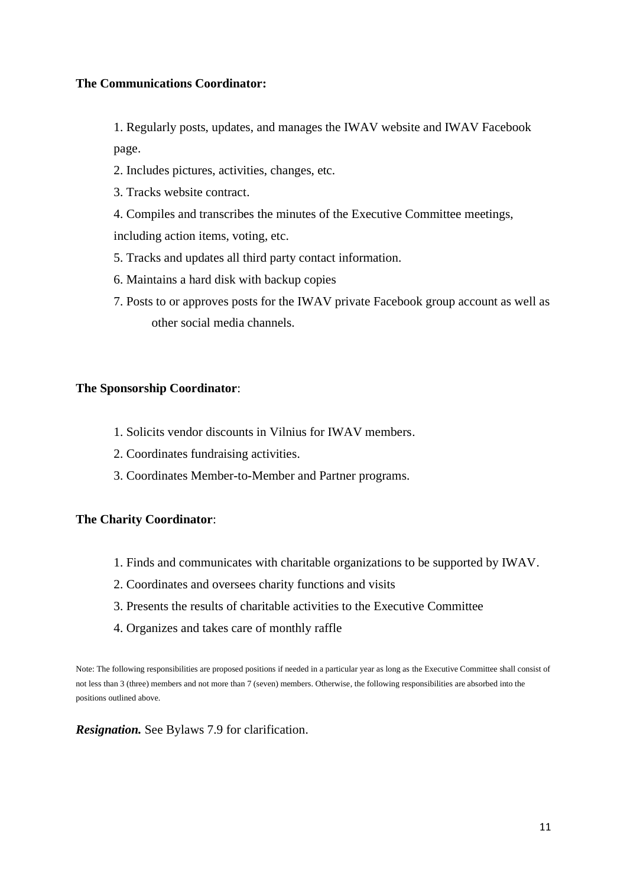### **The Communications Coordinator:**

1. Regularly posts, updates, and manages the IWAV website and IWAV Facebook page.

- 2. Includes pictures, activities, changes, etc.
- 3. Tracks website contract.
- 4. Compiles and transcribes the minutes of the Executive Committee meetings, including action items, voting, etc.
- 5. Tracks and updates all third party contact information.
- 6. Maintains a hard disk with backup copies
- 7. Posts to or approves posts for the IWAV private Facebook group account as well as other social media channels.

#### **The Sponsorship Coordinator**:

- 1. Solicits vendor discounts in Vilnius for IWAV members.
- 2. Coordinates fundraising activities.
- 3. Coordinates Member-to-Member and Partner programs.

#### **The Charity Coordinator**:

- 1. Finds and communicates with charitable organizations to be supported by IWAV.
- 2. Coordinates and oversees charity functions and visits
- 3. Presents the results of charitable activities to the Executive Committee
- 4. Organizes and takes care of monthly raffle

Note: The following responsibilities are proposed positions if needed in a particular year as long as the Executive Committee shall consist of not less than 3 (three) members and not more than 7 (seven) members. Otherwise, the following responsibilities are absorbed into the positions outlined above.

*Resignation.* See Bylaws 7.9 for clarification.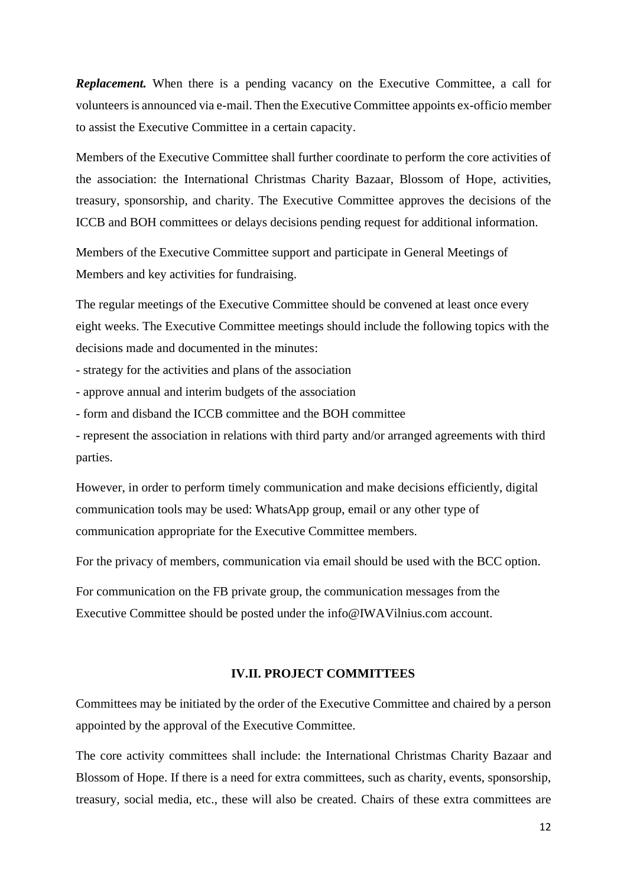**Replacement.** When there is a pending vacancy on the Executive Committee, a call for volunteersis announced via e-mail. Then the Executive Committee appoints ex-officio member to assist the Executive Committee in a certain capacity.

Members of the Executive Committee shall further coordinate to perform the core activities of the association: the International Christmas Charity Bazaar, Blossom of Hope, activities, treasury, sponsorship, and charity. The Executive Committee approves the decisions of the ICCB and BOH committees or delays decisions pending request for additional information.

Members of the Executive Committee support and participate in General Meetings of Members and key activities for fundraising.

The regular meetings of the Executive Committee should be convened at least once every eight weeks. The Executive Committee meetings should include the following topics with the decisions made and documented in the minutes:

- strategy for the activities and plans of the association

- approve annual and interim budgets of the association

- form and disband the ICCB committee and the BOH committee

- represent the association in relations with third party and/or arranged agreements with third parties.

However, in order to perform timely communication and make decisions efficiently, digital communication tools may be used: WhatsApp group, email or any other type of communication appropriate for the Executive Committee members.

For the privacy of members, communication via email should be used with the BCC option.

For communication on the FB private group, the communication messages from the Executive Committee should be posted under the info@IWAVilnius.com account.

#### **IV.II. PROJECT COMMITTEES**

Committees may be initiated by the order of the Executive Committee and chaired by a person appointed by the approval of the Executive Committee.

The core activity committees shall include: the International Christmas Charity Bazaar and Blossom of Hope. If there is a need for extra committees, such as charity, events, sponsorship, treasury, social media, etc., these will also be created. Chairs of these extra committees are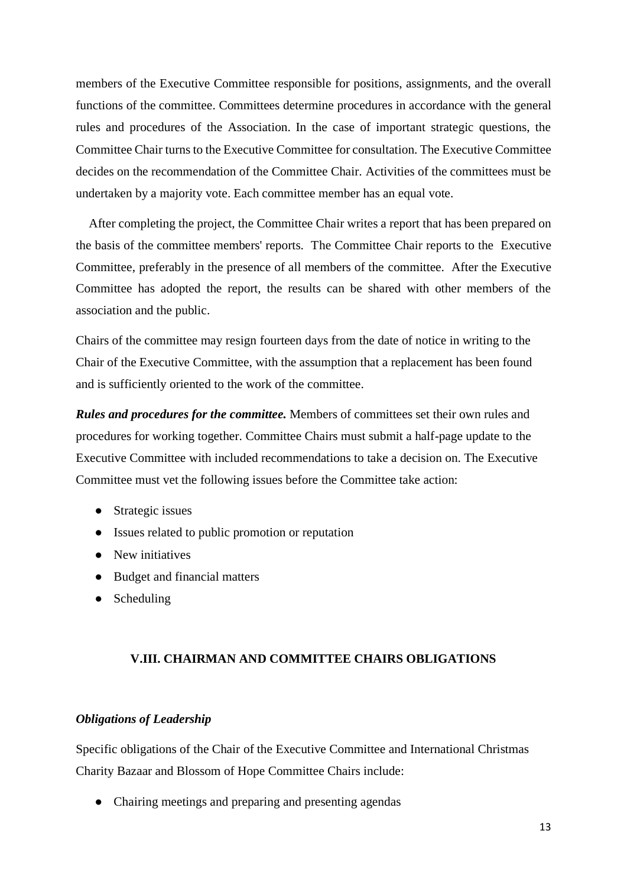members of the Executive Committee responsible for positions, assignments, and the overall functions of the committee. Committees determine procedures in accordance with the general rules and procedures of the Association. In the case of important strategic questions, the Committee Chair turns to the Executive Committee for consultation. The Executive Committee decides on the recommendation of the Committee Chair. Activities of the committees must be undertaken by a majority vote. Each committee member has an equal vote.

 After completing the project, the Committee Chair writes a report that has been prepared on the basis of the committee members' reports. The Committee Chair reports to the Executive Committee, preferably in the presence of all members of the committee. After the Executive Committee has adopted the report, the results can be shared with other members of the association and the public.

Chairs of the committee may resign fourteen days from the date of notice in writing to the Chair of the Executive Committee, with the assumption that a replacement has been found and is sufficiently oriented to the work of the committee.

*Rules and procedures for the committee.* Members of committees set their own rules and procedures for working together. Committee Chairs must submit a half-page update to the Executive Committee with included recommendations to take a decision on. The Executive Committee must vet the following issues before the Committee take action:

- Strategic issues
- Issues related to public promotion or reputation
- New initiatives
- Budget and financial matters
- Scheduling

#### **V.III. CHAIRMAN AND COMMITTEE CHAIRS OBLIGATIONS**

### *Obligations of Leadership*

Specific obligations of the Chair of the Executive Committee and International Christmas Charity Bazaar and Blossom of Hope Committee Chairs include:

• Chairing meetings and preparing and presenting agendas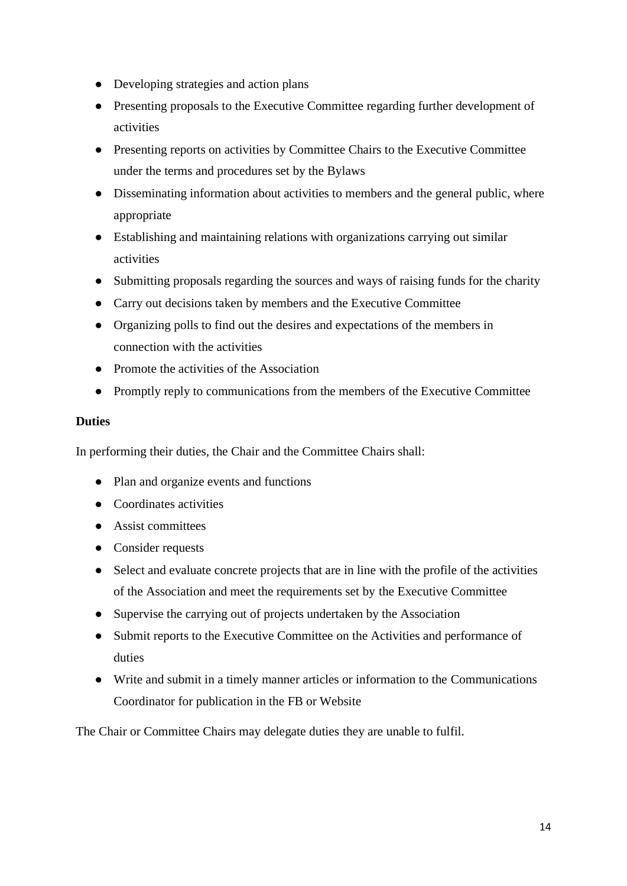- Developing strategies and action plans
- Presenting proposals to the Executive Committee regarding further development of activities
- Presenting reports on activities by Committee Chairs to the Executive Committee under the terms and procedures set by the Bylaws
- Disseminating information about activities to members and the general public, where appropriate
- Establishing and maintaining relations with organizations carrying out similar activities
- Submitting proposals regarding the sources and ways of raising funds for the charity
- Carry out decisions taken by members and the Executive Committee
- Organizing polls to find out the desires and expectations of the members in connection with the activities
- Promote the activities of the Association
- Promptly reply to communications from the members of the Executive Committee

### **Duties**

In performing their duties, the Chair and the Committee Chairs shall:

- Plan and organize events and functions
- Coordinates activities
- Assist committees
- Consider requests
- Select and evaluate concrete projects that are in line with the profile of the activities of the Association and meet the requirements set by the Executive Committee
- Supervise the carrying out of projects undertaken by the Association
- Submit reports to the Executive Committee on the Activities and performance of duties
- Write and submit in a timely manner articles or information to the Communications Coordinator for publication in the FB or Website

The Chair or Committee Chairs may delegate duties they are unable to fulfil.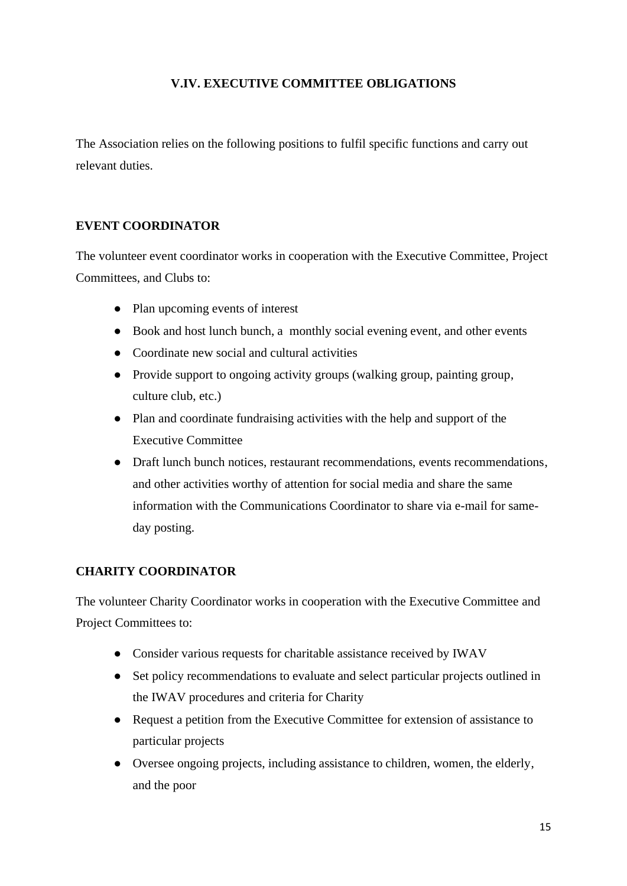### **V.IV. EXECUTIVE COMMITTEE OBLIGATIONS**

The Association relies on the following positions to fulfil specific functions and carry out relevant duties.

### **EVENT COORDINATOR**

The volunteer event coordinator works in cooperation with the Executive Committee, Project Committees, and Clubs to:

- Plan upcoming events of interest
- Book and host lunch bunch, a monthly social evening event, and other events
- Coordinate new social and cultural activities
- Provide support to ongoing activity groups (walking group, painting group, culture club, etc.)
- Plan and coordinate fundraising activities with the help and support of the Executive Committee
- Draft lunch bunch notices, restaurant recommendations, events recommendations, and other activities worthy of attention for social media and share the same information with the Communications Coordinator to share via e-mail for sameday posting.

### **CHARITY COORDINATOR**

The volunteer Charity Coordinator works in cooperation with the Executive Committee and Project Committees to:

- Consider various requests for charitable assistance received by IWAV
- Set policy recommendations to evaluate and select particular projects outlined in the IWAV procedures and criteria for Charity
- Request a petition from the Executive Committee for extension of assistance to particular projects
- Oversee ongoing projects, including assistance to children, women, the elderly, and the poor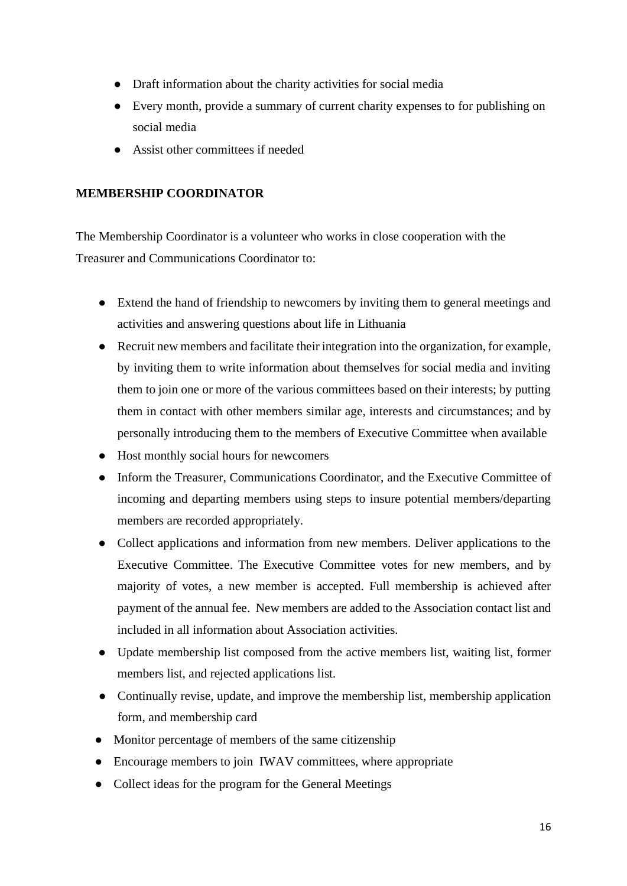- Draft information about the charity activities for social media
- Every month, provide a summary of current charity expenses to for publishing on social media
- Assist other committees if needed

### **MEMBERSHIP COORDINATOR**

The Membership Coordinator is a volunteer who works in close cooperation with the Treasurer and Communications Coordinator to:

- Extend the hand of friendship to newcomers by inviting them to general meetings and activities and answering questions about life in Lithuania
- Recruit new members and facilitate their integration into the organization, for example, by inviting them to write information about themselves for social media and inviting them to join one or more of the various committees based on their interests; by putting them in contact with other members similar age, interests and circumstances; and by personally introducing them to the members of Executive Committee when available
- Host monthly social hours for newcomers
- Inform the Treasurer, Communications Coordinator, and the Executive Committee of incoming and departing members using steps to insure potential members/departing members are recorded appropriately.
- Collect applications and information from new members. Deliver applications to the Executive Committee. The Executive Committee votes for new members, and by majority of votes, a new member is accepted. Full membership is achieved after payment of the annual fee. New members are added to the Association contact list and included in all information about Association activities.
- Update membership list composed from the active members list, waiting list, former members list, and rejected applications list.
- Continually revise, update, and improve the membership list, membership application form, and membership card
- Monitor percentage of members of the same citizenship
- Encourage members to join IWAV committees, where appropriate
- Collect ideas for the program for the General Meetings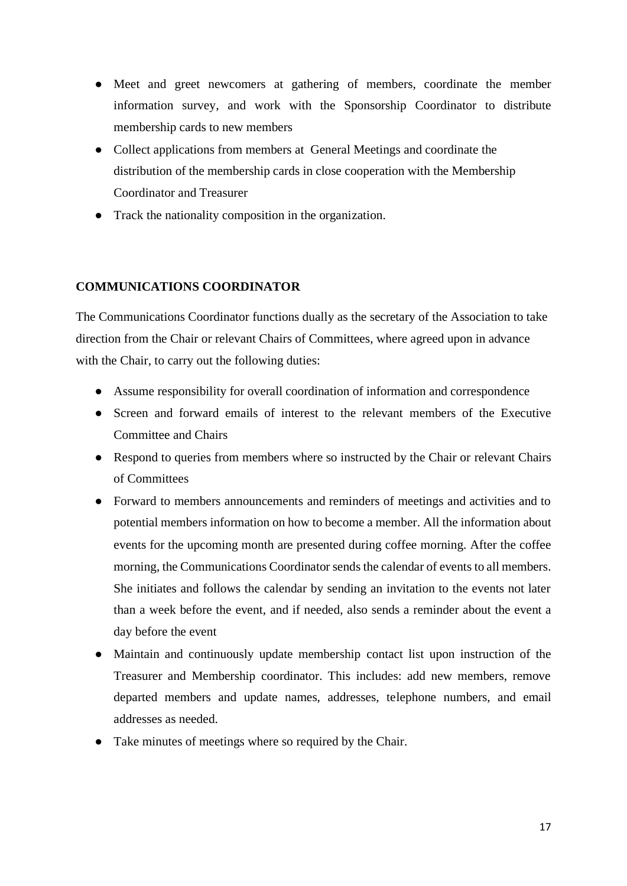- Meet and greet newcomers at gathering of members, coordinate the member information survey, and work with the Sponsorship Coordinator to distribute membership cards to new members
- Collect applications from members at General Meetings and coordinate the distribution of the membership cards in close cooperation with the Membership Coordinator and Treasurer
- Track the nationality composition in the organization.

### **COMMUNICATIONS COORDINATOR**

The Communications Coordinator functions dually as the secretary of the Association to take direction from the Chair or relevant Chairs of Committees, where agreed upon in advance with the Chair, to carry out the following duties:

- Assume responsibility for overall coordination of information and correspondence
- Screen and forward emails of interest to the relevant members of the Executive Committee and Chairs
- Respond to queries from members where so instructed by the Chair or relevant Chairs of Committees
- Forward to members announcements and reminders of meetings and activities and to potential members information on how to become a member. All the information about events for the upcoming month are presented during coffee morning. After the coffee morning, the Communications Coordinator sends the calendar of events to all members. She initiates and follows the calendar by sending an invitation to the events not later than a week before the event, and if needed, also sends a reminder about the event a day before the event
- Maintain and continuously update membership contact list upon instruction of the Treasurer and Membership coordinator. This includes: add new members, remove departed members and update names, addresses, telephone numbers, and email addresses as needed.
- Take minutes of meetings where so required by the Chair.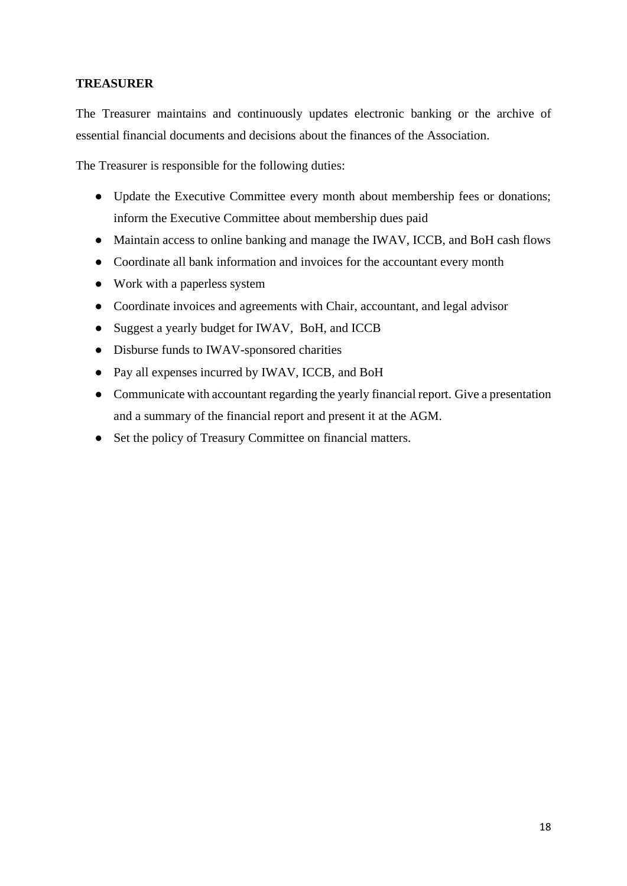### **TREASURER**

The Treasurer maintains and continuously updates electronic banking or the archive of essential financial documents and decisions about the finances of the Association.

The Treasurer is responsible for the following duties:

- Update the Executive Committee every month about membership fees or donations; inform the Executive Committee about membership dues paid
- Maintain access to online banking and manage the IWAV, ICCB, and BoH cash flows
- Coordinate all bank information and invoices for the accountant every month
- Work with a paperless system
- Coordinate invoices and agreements with Chair, accountant, and legal advisor
- Suggest a yearly budget for IWAV, BoH, and ICCB
- Disburse funds to IWAV-sponsored charities
- Pay all expenses incurred by IWAV, ICCB, and BoH
- Communicate with accountant regarding the yearly financial report. Give a presentation and a summary of the financial report and present it at the AGM.
- Set the policy of Treasury Committee on financial matters.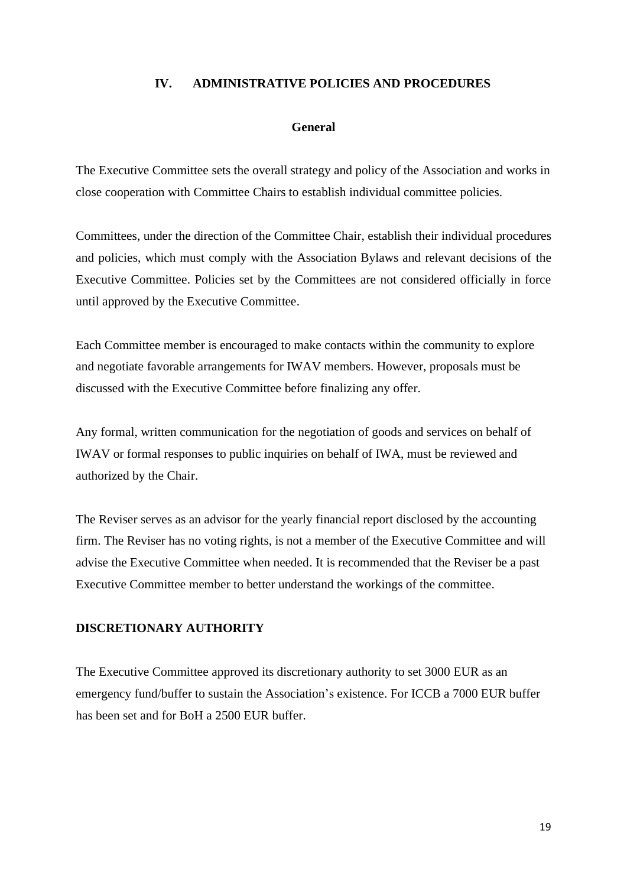### **IV. ADMINISTRATIVE POLICIES AND PROCEDURES**

### **General**

The Executive Committee sets the overall strategy and policy of the Association and works in close cooperation with Committee Chairs to establish individual committee policies.

Committees, under the direction of the Committee Chair, establish their individual procedures and policies, which must comply with the Association Bylaws and relevant decisions of the Executive Committee. Policies set by the Committees are not considered officially in force until approved by the Executive Committee.

Each Committee member is encouraged to make contacts within the community to explore and negotiate favorable arrangements for IWAV members. However, proposals must be discussed with the Executive Committee before finalizing any offer.

Any formal, written communication for the negotiation of goods and services on behalf of IWAV or formal responses to public inquiries on behalf of IWA, must be reviewed and authorized by the Chair.

The Reviser serves as an advisor for the yearly financial report disclosed by the accounting firm. The Reviser has no voting rights, is not a member of the Executive Committee and will advise the Executive Committee when needed. It is recommended that the Reviser be a past Executive Committee member to better understand the workings of the committee.

### **DISCRETIONARY AUTHORITY**

The Executive Committee approved its discretionary authority to set 3000 EUR as an emergency fund/buffer to sustain the Association's existence. For ICCB a 7000 EUR buffer has been set and for BoH a 2500 EUR buffer.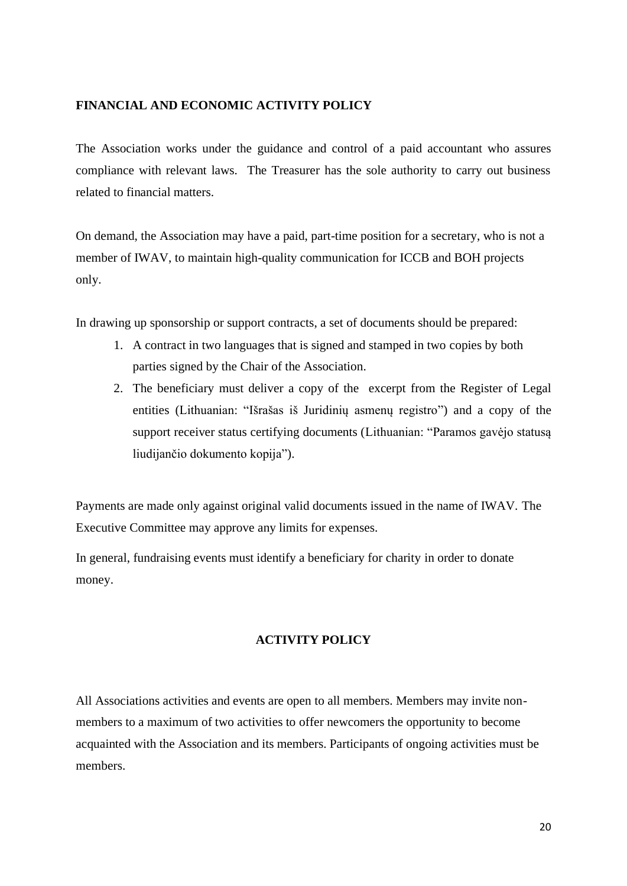### **FINANCIAL AND ECONOMIC ACTIVITY POLICY**

The Association works under the guidance and control of a paid accountant who assures compliance with relevant laws. The Treasurer has the sole authority to carry out business related to financial matters.

On demand, the Association may have a paid, part-time position for a secretary, who is not a member of IWAV, to maintain high-quality communication for ICCB and BOH projects only.

In drawing up sponsorship or support contracts, a set of documents should be prepared:

- 1. A contract in two languages that is signed and stamped in two copies by both parties signed by the Chair of the Association.
- 2. The beneficiary must deliver a copy of the excerpt from the Register of Legal entities (Lithuanian: "Išrašas iš Juridinių asmenų registro") and a copy of the support receiver status certifying documents (Lithuanian: "Paramos gavėjo statusą liudijančio dokumento kopija").

Payments are made only against original valid documents issued in the name of IWAV. The Executive Committee may approve any limits for expenses.

In general, fundraising events must identify a beneficiary for charity in order to donate money.

### **ACTIVITY POLICY**

All Associations activities and events are open to all members. Members may invite nonmembers to a maximum of two activities to offer newcomers the opportunity to become acquainted with the Association and its members. Participants of ongoing activities must be members.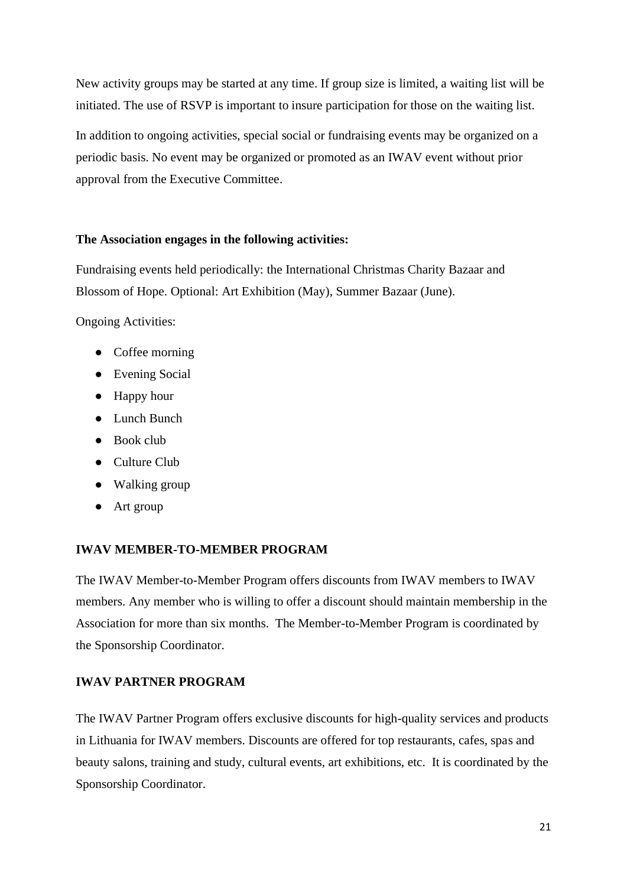New activity groups may be started at any time. If group size is limited, a waiting list will be initiated. The use of RSVP is important to insure participation for those on the waiting list.

In addition to ongoing activities, special social or fundraising events may be organized on a periodic basis. No event may be organized or promoted as an IWAV event without prior approval from the Executive Committee.

### **The Association engages in the following activities:**

Fundraising events held periodically: the International Christmas Charity Bazaar and Blossom of Hope. Optional: Art Exhibition (May), Summer Bazaar (June).

Ongoing Activities:

- Coffee morning
- Evening Social
- Happy hour
- Lunch Bunch
- Book club
- Culture Club
- Walking group
- Art group

### **IWAV MEMBER-TO-MEMBER PROGRAM**

The IWAV Member-to-Member Program offers discounts from IWAV members to IWAV members. Any member who is willing to offer a discount should maintain membership in the Association for more than six months. The Member-to-Member Program is coordinated by the Sponsorship Coordinator.

### **IWAV PARTNER PROGRAM**

The IWAV Partner Program offers exclusive discounts for high-quality services and products in Lithuania for IWAV members. Discounts are offered for top restaurants, cafes, spas and beauty salons, training and study, cultural events, art exhibitions, etc. It is coordinated by the Sponsorship Coordinator.